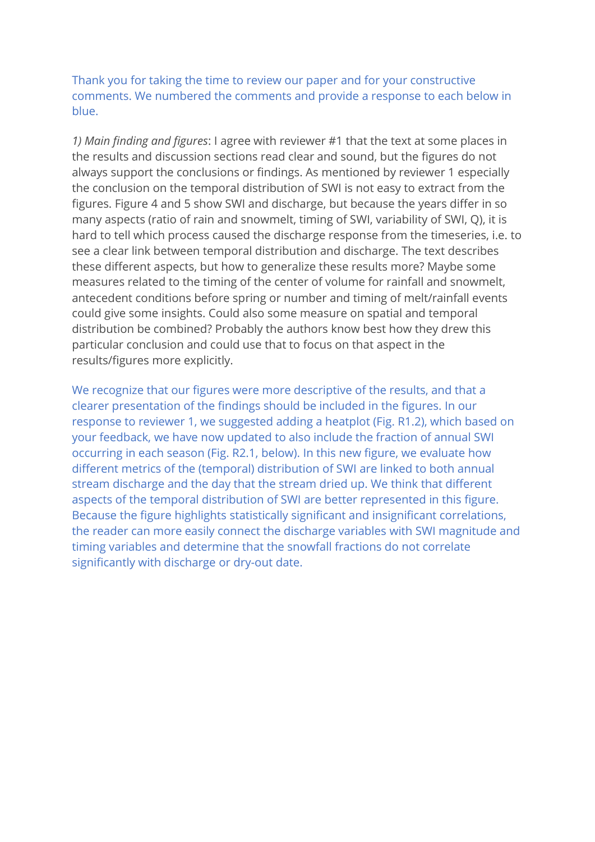Thank you for taking the time to review our paper and for your constructive comments. We numbered the comments and provide a response to each below in blue.

*1) Main finding and figures*: I agree with reviewer #1 that the text at some places in the results and discussion sections read clear and sound, but the figures do not always support the conclusions or findings. As mentioned by reviewer 1 especially the conclusion on the temporal distribution of SWI is not easy to extract from the figures. Figure 4 and 5 show SWI and discharge, but because the years differ in so many aspects (ratio of rain and snowmelt, timing of SWI, variability of SWI, Q), it is hard to tell which process caused the discharge response from the timeseries, i.e. to see a clear link between temporal distribution and discharge. The text describes these different aspects, but how to generalize these results more? Maybe some measures related to the timing of the center of volume for rainfall and snowmelt, antecedent conditions before spring or number and timing of melt/rainfall events could give some insights. Could also some measure on spatial and temporal distribution be combined? Probably the authors know best how they drew this particular conclusion and could use that to focus on that aspect in the results/figures more explicitly.

We recognize that our figures were more descriptive of the results, and that a clearer presentation of the findings should be included in the figures. In our response to reviewer 1, we suggested adding a heatplot (Fig. R1.2), which based on your feedback, we have now updated to also include the fraction of annual SWI occurring in each season (Fig. R2.1, below). In this new figure, we evaluate how different metrics of the (temporal) distribution of SWI are linked to both annual stream discharge and the day that the stream dried up. We think that different aspects of the temporal distribution of SWI are better represented in this figure. Because the figure highlights statistically significant and insignificant correlations, the reader can more easily connect the discharge variables with SWI magnitude and timing variables and determine that the snowfall fractions do not correlate significantly with discharge or dry-out date.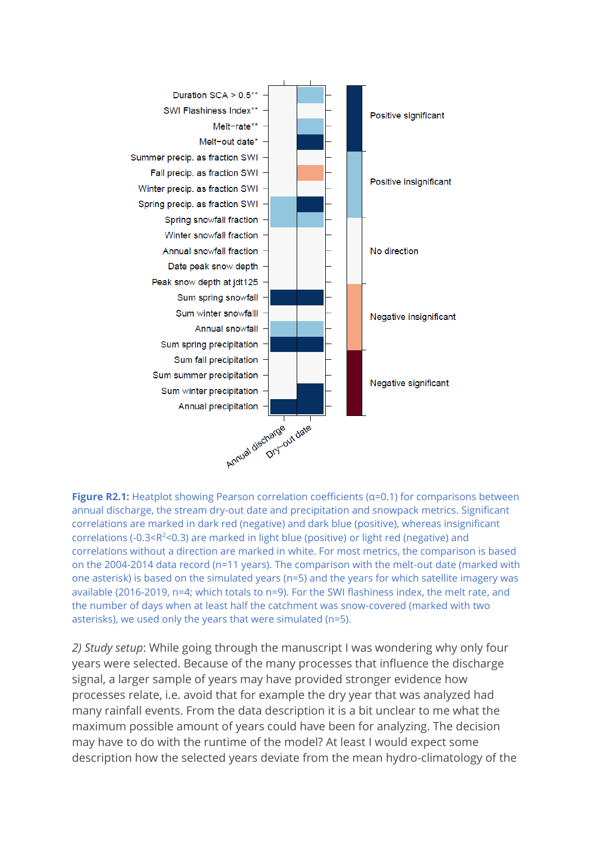

**Figure R2.1:** Heatplot showing Pearson correlation coefficients (α=0.1) for comparisons between annual discharge, the stream dry-out date and precipitation and snowpack metrics. Significant correlations are marked in dark red (negative) and dark blue (positive), whereas insignificant correlations (-0.3<R<sup>2</sup><0.3) are marked in light blue (positive) or light red (negative) and correlations without a direction are marked in white. For most metrics, the comparison is based on the 2004-2014 data record (n=11 years). The comparison with the melt-out date (marked with one asterisk) is based on the simulated years (n=5) and the years for which satellite imagery was available (2016-2019, n=4; which totals to n=9). For the SWI flashiness index, the melt rate, and the number of days when at least half the catchment was snow-covered (marked with two asterisks), we used only the years that were simulated (n=5).

*2) Study setup*: While going through the manuscript I was wondering why only four years were selected. Because of the many processes that influence the discharge signal, a larger sample of years may have provided stronger evidence how processes relate, i.e. avoid that for example the dry year that was analyzed had many rainfall events. From the data description it is a bit unclear to me what the maximum possible amount of years could have been for analyzing. The decision may have to do with the runtime of the model? At least I would expect some description how the selected years deviate from the mean hydro-climatology of the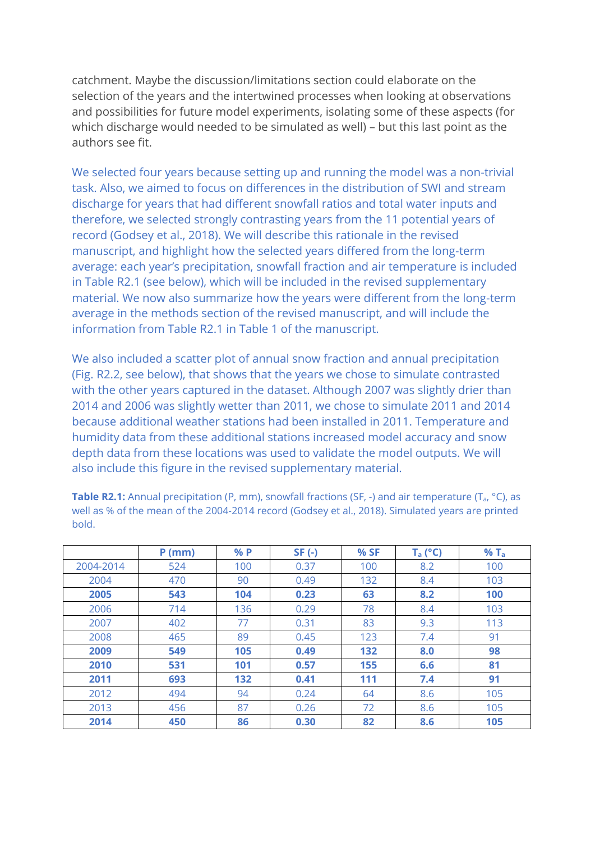catchment. Maybe the discussion/limitations section could elaborate on the selection of the years and the intertwined processes when looking at observations and possibilities for future model experiments, isolating some of these aspects (for which discharge would needed to be simulated as well) – but this last point as the authors see fit.

We selected four years because setting up and running the model was a non-trivial task. Also, we aimed to focus on differences in the distribution of SWI and stream discharge for years that had different snowfall ratios and total water inputs and therefore, we selected strongly contrasting years from the 11 potential years of record (Godsey et al., 2018). We will describe this rationale in the revised manuscript, and highlight how the selected years differed from the long-term average: each year's precipitation, snowfall fraction and air temperature is included in Table R2.1 (see below), which will be included in the revised supplementary material. We now also summarize how the years were different from the long-term average in the methods section of the revised manuscript, and will include the information from Table R2.1 in Table 1 of the manuscript.

We also included a scatter plot of annual snow fraction and annual precipitation (Fig. R2.2, see below), that shows that the years we chose to simulate contrasted with the other years captured in the dataset. Although 2007 was slightly drier than 2014 and 2006 was slightly wetter than 2011, we chose to simulate 2011 and 2014 because additional weather stations had been installed in 2011. Temperature and humidity data from these additional stations increased model accuracy and snow depth data from these locations was used to validate the model outputs. We will also include this figure in the revised supplementary material.

|           | $P$ (mm) | % P | $SF(-)$ | % SF | $T_a (°C)$ | % T <sub>a</sub> |
|-----------|----------|-----|---------|------|------------|------------------|
| 2004-2014 | 524      | 100 | 0.37    | 100  | 8.2        | 100              |
| 2004      | 470      | 90  | 0.49    | 132  | 8.4        | 103              |
| 2005      | 543      | 104 | 0.23    | 63   | 8.2        | 100              |
| 2006      | 714      | 136 | 0.29    | 78   | 8.4        | 103              |
| 2007      | 402      | 77  | 0.31    | 83   | 9.3        | 113              |
| 2008      | 465      | 89  | 0.45    | 123  | 7.4        | 91               |
| 2009      | 549      | 105 | 0.49    | 132  | 8.0        | 98               |
| 2010      | 531      | 101 | 0.57    | 155  | 6.6        | 81               |
| 2011      | 693      | 132 | 0.41    | 111  | 7.4        | 91               |
| 2012      | 494      | 94  | 0.24    | 64   | 8.6        | 105              |
| 2013      | 456      | 87  | 0.26    | 72   | 8.6        | 105              |
| 2014      | 450      | 86  | 0.30    | 82   | 8.6        | 105              |

**Table R2.1:** Annual precipitation (P, mm), snowfall fractions (SF, -) and air temperature (T<sub>a</sub>, °C), as well as % of the mean of the 2004-2014 record (Godsey et al., 2018). Simulated years are printed bold.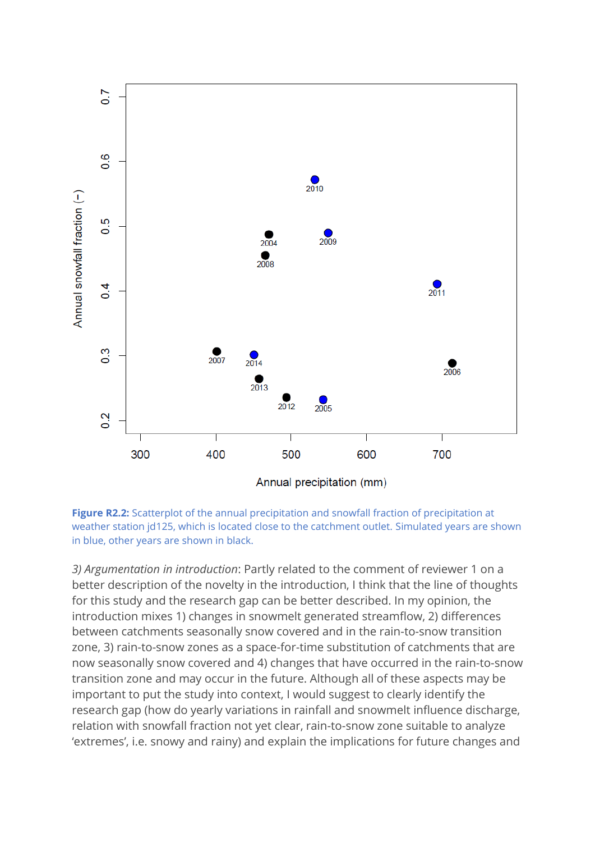



*3) Argumentation in introduction*: Partly related to the comment of reviewer 1 on a better description of the novelty in the introduction, I think that the line of thoughts for this study and the research gap can be better described. In my opinion, the introduction mixes 1) changes in snowmelt generated streamflow, 2) differences between catchments seasonally snow covered and in the rain-to-snow transition zone, 3) rain-to-snow zones as a space-for-time substitution of catchments that are now seasonally snow covered and 4) changes that have occurred in the rain-to-snow transition zone and may occur in the future. Although all of these aspects may be important to put the study into context, I would suggest to clearly identify the research gap (how do yearly variations in rainfall and snowmelt influence discharge, relation with snowfall fraction not yet clear, rain-to-snow zone suitable to analyze 'extremes', i.e. snowy and rainy) and explain the implications for future changes and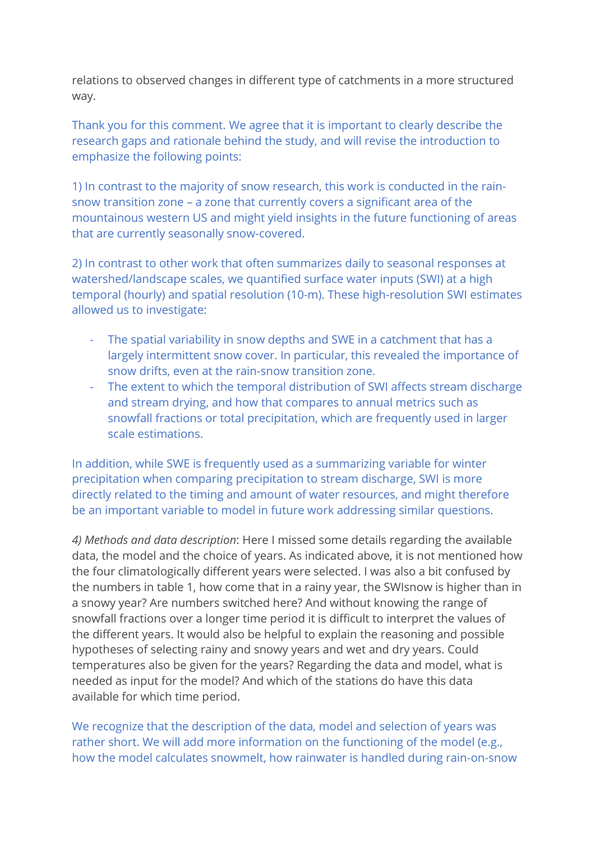relations to observed changes in different type of catchments in a more structured way.

Thank you for this comment. We agree that it is important to clearly describe the research gaps and rationale behind the study, and will revise the introduction to emphasize the following points:

1) In contrast to the majority of snow research, this work is conducted in the rainsnow transition zone – a zone that currently covers a significant area of the mountainous western US and might yield insights in the future functioning of areas that are currently seasonally snow-covered.

2) In contrast to other work that often summarizes daily to seasonal responses at watershed/landscape scales, we quantified surface water inputs (SWI) at a high temporal (hourly) and spatial resolution (10-m). These high-resolution SWI estimates allowed us to investigate:

- The spatial variability in snow depths and SWE in a catchment that has a largely intermittent snow cover. In particular, this revealed the importance of snow drifts, even at the rain-snow transition zone.
- The extent to which the temporal distribution of SWI affects stream discharge and stream drying, and how that compares to annual metrics such as snowfall fractions or total precipitation, which are frequently used in larger scale estimations.

In addition, while SWE is frequently used as a summarizing variable for winter precipitation when comparing precipitation to stream discharge, SWI is more directly related to the timing and amount of water resources, and might therefore be an important variable to model in future work addressing similar questions.

*4) Methods and data description*: Here I missed some details regarding the available data, the model and the choice of years. As indicated above, it is not mentioned how the four climatologically different years were selected. I was also a bit confused by the numbers in table 1, how come that in a rainy year, the SWIsnow is higher than in a snowy year? Are numbers switched here? And without knowing the range of snowfall fractions over a longer time period it is difficult to interpret the values of the different years. It would also be helpful to explain the reasoning and possible hypotheses of selecting rainy and snowy years and wet and dry years. Could temperatures also be given for the years? Regarding the data and model, what is needed as input for the model? And which of the stations do have this data available for which time period.

We recognize that the description of the data, model and selection of years was rather short. We will add more information on the functioning of the model (e.g., how the model calculates snowmelt, how rainwater is handled during rain-on-snow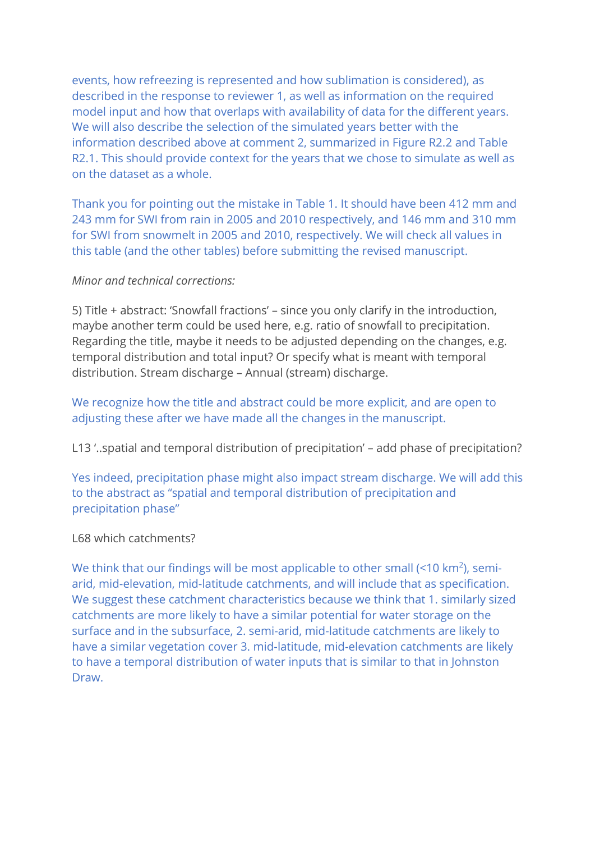events, how refreezing is represented and how sublimation is considered), as described in the response to reviewer 1, as well as information on the required model input and how that overlaps with availability of data for the different years. We will also describe the selection of the simulated years better with the information described above at comment 2, summarized in Figure R2.2 and Table R2.1. This should provide context for the years that we chose to simulate as well as on the dataset as a whole.

Thank you for pointing out the mistake in Table 1. It should have been 412 mm and 243 mm for SWI from rain in 2005 and 2010 respectively, and 146 mm and 310 mm for SWI from snowmelt in 2005 and 2010, respectively. We will check all values in this table (and the other tables) before submitting the revised manuscript.

## *Minor and technical corrections:*

5) Title + abstract: 'Snowfall fractions' – since you only clarify in the introduction, maybe another term could be used here, e.g. ratio of snowfall to precipitation. Regarding the title, maybe it needs to be adjusted depending on the changes, e.g. temporal distribution and total input? Or specify what is meant with temporal distribution. Stream discharge – Annual (stream) discharge.

We recognize how the title and abstract could be more explicit, and are open to adjusting these after we have made all the changes in the manuscript.

L13 '..spatial and temporal distribution of precipitation' – add phase of precipitation?

Yes indeed, precipitation phase might also impact stream discharge. We will add this to the abstract as "spatial and temporal distribution of precipitation and precipitation phase"

## L68 which catchments?

We think that our findings will be most applicable to other small (<10 km<sup>2</sup>), semiarid, mid-elevation, mid-latitude catchments, and will include that as specification. We suggest these catchment characteristics because we think that 1. similarly sized catchments are more likely to have a similar potential for water storage on the surface and in the subsurface, 2. semi-arid, mid-latitude catchments are likely to have a similar vegetation cover 3. mid-latitude, mid-elevation catchments are likely to have a temporal distribution of water inputs that is similar to that in Johnston **Draw**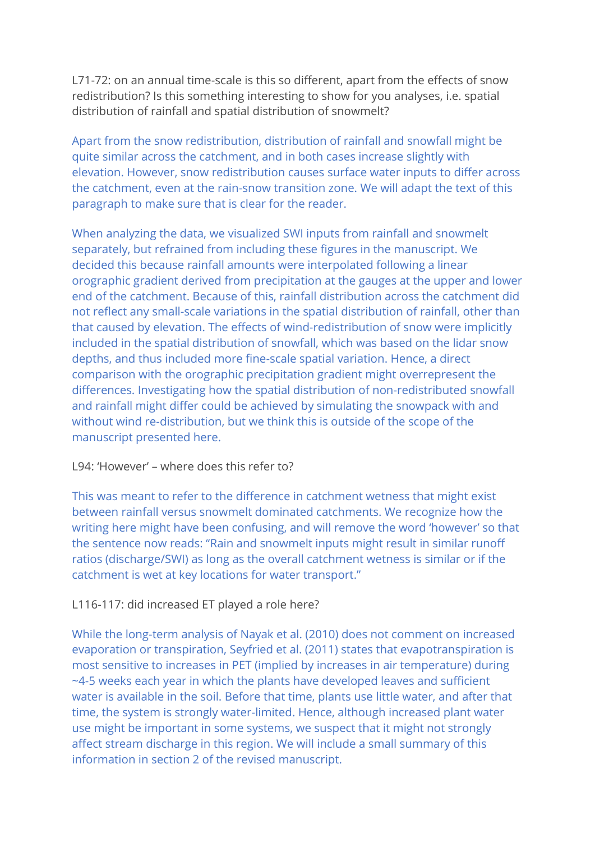L71-72: on an annual time-scale is this so different, apart from the effects of snow redistribution? Is this something interesting to show for you analyses, i.e. spatial distribution of rainfall and spatial distribution of snowmelt?

Apart from the snow redistribution, distribution of rainfall and snowfall might be quite similar across the catchment, and in both cases increase slightly with elevation. However, snow redistribution causes surface water inputs to differ across the catchment, even at the rain-snow transition zone. We will adapt the text of this paragraph to make sure that is clear for the reader.

When analyzing the data, we visualized SWI inputs from rainfall and snowmelt separately, but refrained from including these figures in the manuscript. We decided this because rainfall amounts were interpolated following a linear orographic gradient derived from precipitation at the gauges at the upper and lower end of the catchment. Because of this, rainfall distribution across the catchment did not reflect any small-scale variations in the spatial distribution of rainfall, other than that caused by elevation. The effects of wind-redistribution of snow were implicitly included in the spatial distribution of snowfall, which was based on the lidar snow depths, and thus included more fine-scale spatial variation. Hence, a direct comparison with the orographic precipitation gradient might overrepresent the differences. Investigating how the spatial distribution of non-redistributed snowfall and rainfall might differ could be achieved by simulating the snowpack with and without wind re-distribution, but we think this is outside of the scope of the manuscript presented here.

## L94: 'However' – where does this refer to?

This was meant to refer to the difference in catchment wetness that might exist between rainfall versus snowmelt dominated catchments. We recognize how the writing here might have been confusing, and will remove the word 'however' so that the sentence now reads: "Rain and snowmelt inputs might result in similar runoff ratios (discharge/SWI) as long as the overall catchment wetness is similar or if the catchment is wet at key locations for water transport."

## L116-117: did increased ET played a role here?

While the long-term analysis of Nayak et al. (2010) does not comment on increased evaporation or transpiration, Seyfried et al. (2011) states that evapotranspiration is most sensitive to increases in PET (implied by increases in air temperature) during ~4-5 weeks each year in which the plants have developed leaves and sufficient water is available in the soil. Before that time, plants use little water, and after that time, the system is strongly water-limited. Hence, although increased plant water use might be important in some systems, we suspect that it might not strongly affect stream discharge in this region. We will include a small summary of this information in section 2 of the revised manuscript.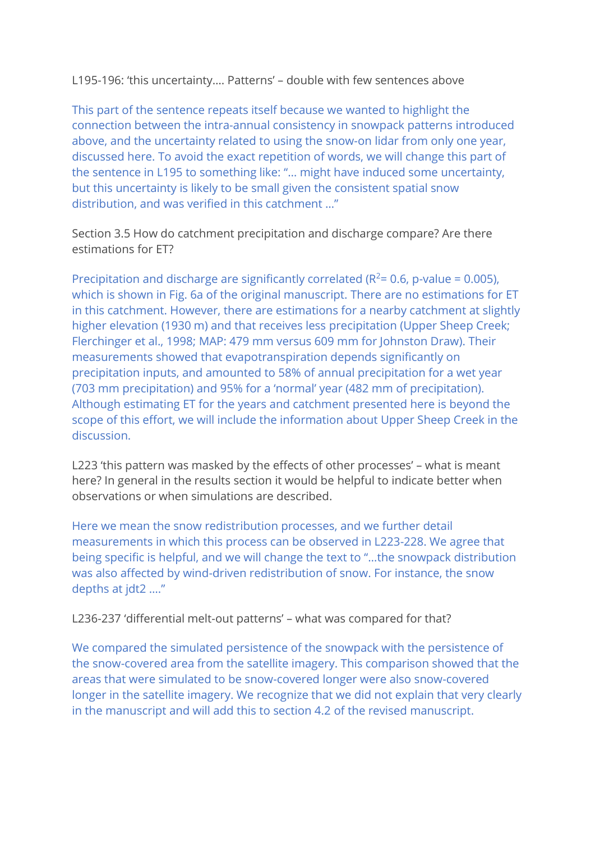L195-196: 'this uncertainty…. Patterns' – double with few sentences above

This part of the sentence repeats itself because we wanted to highlight the connection between the intra-annual consistency in snowpack patterns introduced above, and the uncertainty related to using the snow-on lidar from only one year, discussed here. To avoid the exact repetition of words, we will change this part of the sentence in L195 to something like: "… might have induced some uncertainty, but this uncertainty is likely to be small given the consistent spatial snow distribution, and was verified in this catchment …"

Section 3.5 How do catchment precipitation and discharge compare? Are there estimations for ET?

Precipitation and discharge are significantly correlated ( $R^2$ = 0.6, p-value = 0.005), which is shown in Fig. 6a of the original manuscript. There are no estimations for ET in this catchment. However, there are estimations for a nearby catchment at slightly higher elevation (1930 m) and that receives less precipitation (Upper Sheep Creek; Flerchinger et al., 1998; MAP: 479 mm versus 609 mm for Johnston Draw). Their measurements showed that evapotranspiration depends significantly on precipitation inputs, and amounted to 58% of annual precipitation for a wet year (703 mm precipitation) and 95% for a 'normal' year (482 mm of precipitation). Although estimating ET for the years and catchment presented here is beyond the scope of this effort, we will include the information about Upper Sheep Creek in the discussion.

L223 'this pattern was masked by the effects of other processes' – what is meant here? In general in the results section it would be helpful to indicate better when observations or when simulations are described.

Here we mean the snow redistribution processes, and we further detail measurements in which this process can be observed in L223-228. We agree that being specific is helpful, and we will change the text to "…the snowpack distribution was also affected by wind-driven redistribution of snow. For instance, the snow depths at jdt2 …."

L236-237 'differential melt-out patterns' – what was compared for that?

We compared the simulated persistence of the snowpack with the persistence of the snow-covered area from the satellite imagery. This comparison showed that the areas that were simulated to be snow-covered longer were also snow-covered longer in the satellite imagery. We recognize that we did not explain that very clearly in the manuscript and will add this to section 4.2 of the revised manuscript.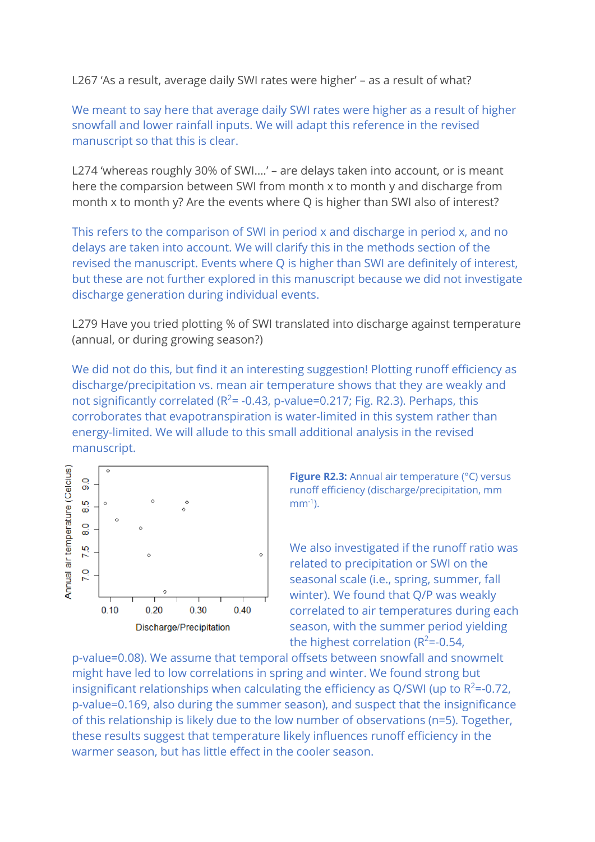L267 'As a result, average daily SWI rates were higher' – as a result of what?

We meant to say here that average daily SWI rates were higher as a result of higher snowfall and lower rainfall inputs. We will adapt this reference in the revised manuscript so that this is clear.

L274 'whereas roughly 30% of SWI….' – are delays taken into account, or is meant here the comparsion between SWI from month x to month y and discharge from month x to month y? Are the events where Q is higher than SWI also of interest?

This refers to the comparison of SWI in period x and discharge in period x, and no delays are taken into account. We will clarify this in the methods section of the revised the manuscript. Events where Q is higher than SWI are definitely of interest, but these are not further explored in this manuscript because we did not investigate discharge generation during individual events.

L279 Have you tried plotting % of SWI translated into discharge against temperature (annual, or during growing season?)

We did not do this, but find it an interesting suggestion! Plotting runoff efficiency as discharge/precipitation vs. mean air temperature shows that they are weakly and not significantly correlated ( $R^2$ = -0.43, p-value=0.217; Fig. R2.3). Perhaps, this corroborates that evapotranspiration is water-limited in this system rather than energy-limited. We will allude to this small additional analysis in the revised manuscript.



**Figure R2.3:** Annual air temperature (°C) versus runoff efficiency (discharge/precipitation, mm  $mm<sup>-1</sup>$ ).

We also investigated if the runoff ratio was related to precipitation or SWI on the seasonal scale (i.e., spring, summer, fall winter). We found that Q/P was weakly correlated to air temperatures during each season, with the summer period yielding the highest correlation ( $R^2$ =-0.54,

p-value=0.08). We assume that temporal offsets between snowfall and snowmelt might have led to low correlations in spring and winter. We found strong but insignificant relationships when calculating the efficiency as Q/SWI (up to  $R^2$ =-0.72, p-value=0.169, also during the summer season), and suspect that the insignificance of this relationship is likely due to the low number of observations (n=5). Together, these results suggest that temperature likely influences runoff efficiency in the warmer season, but has little effect in the cooler season.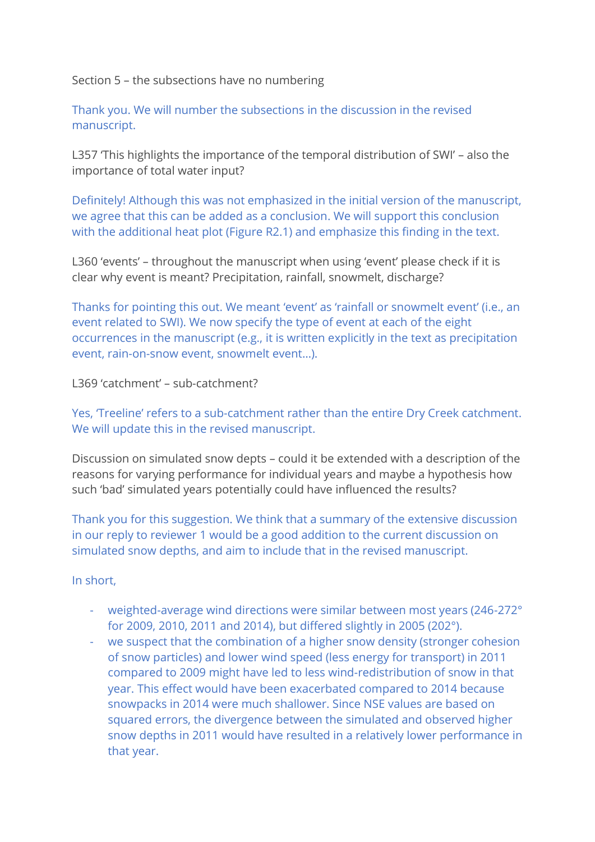Section 5 – the subsections have no numbering

Thank you. We will number the subsections in the discussion in the revised manuscript.

L357 'This highlights the importance of the temporal distribution of SWI' – also the importance of total water input?

Definitely! Although this was not emphasized in the initial version of the manuscript, we agree that this can be added as a conclusion. We will support this conclusion with the additional heat plot (Figure R2.1) and emphasize this finding in the text.

L360 'events' – throughout the manuscript when using 'event' please check if it is clear why event is meant? Precipitation, rainfall, snowmelt, discharge?

Thanks for pointing this out. We meant 'event' as 'rainfall or snowmelt event' (i.e., an event related to SWI). We now specify the type of event at each of the eight occurrences in the manuscript (e.g., it is written explicitly in the text as precipitation event, rain-on-snow event, snowmelt event…).

L369 'catchment' – sub-catchment?

Yes, 'Treeline' refers to a sub-catchment rather than the entire Dry Creek catchment. We will update this in the revised manuscript.

Discussion on simulated snow depts – could it be extended with a description of the reasons for varying performance for individual years and maybe a hypothesis how such 'bad' simulated years potentially could have influenced the results?

Thank you for this suggestion. We think that a summary of the extensive discussion in our reply to reviewer 1 would be a good addition to the current discussion on simulated snow depths, and aim to include that in the revised manuscript.

In short,

- weighted-average wind directions were similar between most years (246-272° for 2009, 2010, 2011 and 2014), but differed slightly in 2005 (202°).
- we suspect that the combination of a higher snow density (stronger cohesion of snow particles) and lower wind speed (less energy for transport) in 2011 compared to 2009 might have led to less wind-redistribution of snow in that year. This effect would have been exacerbated compared to 2014 because snowpacks in 2014 were much shallower. Since NSE values are based on squared errors, the divergence between the simulated and observed higher snow depths in 2011 would have resulted in a relatively lower performance in that year.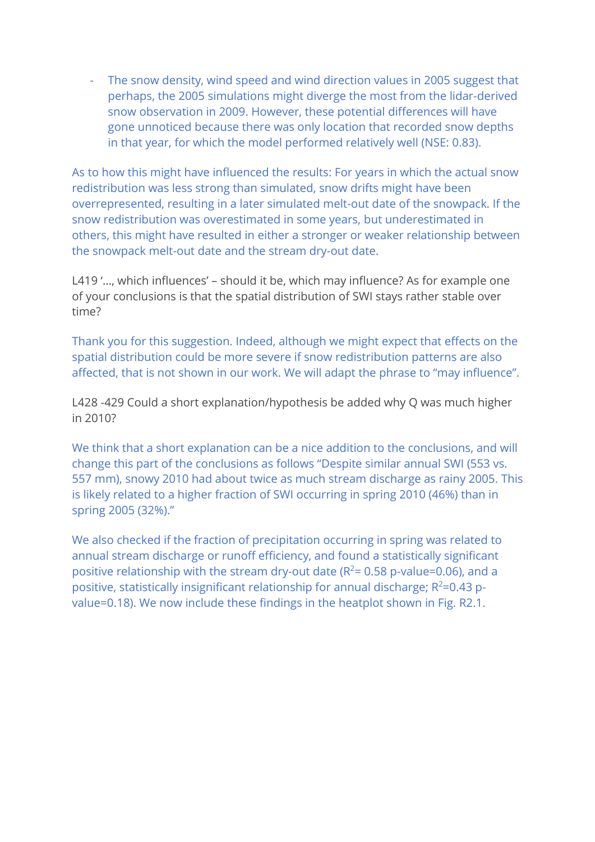- The snow density, wind speed and wind direction values in 2005 suggest that perhaps, the 2005 simulations might diverge the most from the lidar-derived snow observation in 2009. However, these potential differences will have gone unnoticed because there was only location that recorded snow depths in that year, for which the model performed relatively well (NSE: 0.83).

As to how this might have influenced the results: For years in which the actual snow redistribution was less strong than simulated, snow drifts might have been overrepresented, resulting in a later simulated melt-out date of the snowpack. If the snow redistribution was overestimated in some years, but underestimated in others, this might have resulted in either a stronger or weaker relationship between the snowpack melt-out date and the stream dry-out date.

L419 '…, which influences' – should it be, which may influence? As for example one of your conclusions is that the spatial distribution of SWI stays rather stable over time?

Thank you for this suggestion. Indeed, although we might expect that effects on the spatial distribution could be more severe if snow redistribution patterns are also affected, that is not shown in our work. We will adapt the phrase to "may influence".

L428 -429 Could a short explanation/hypothesis be added why Q was much higher in 2010?

We think that a short explanation can be a nice addition to the conclusions, and will change this part of the conclusions as follows "Despite similar annual SWI (553 vs. 557 mm), snowy 2010 had about twice as much stream discharge as rainy 2005. This is likely related to a higher fraction of SWI occurring in spring 2010 (46%) than in spring 2005 (32%)."

We also checked if the fraction of precipitation occurring in spring was related to annual stream discharge or runoff efficiency, and found a statistically significant positive relationship with the stream dry-out date ( $R^2$  = 0.58 p-value=0.06), and a positive, statistically insignificant relationship for annual discharge;  $R^2$ =0.43 pvalue=0.18). We now include these findings in the heatplot shown in Fig. R2.1.